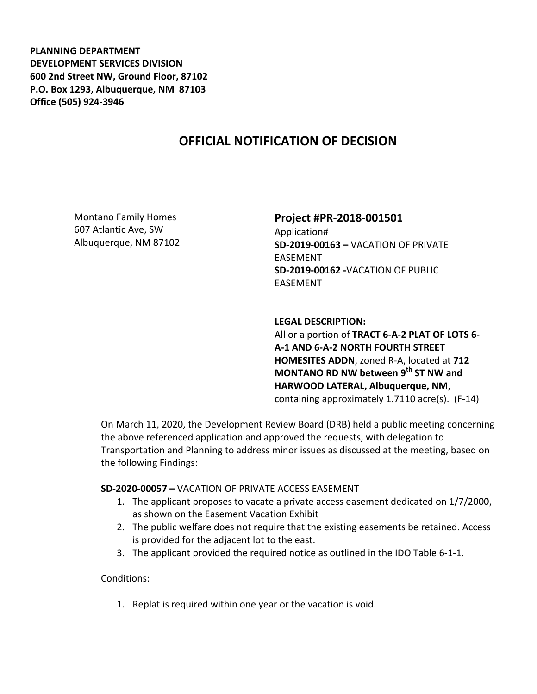**PLANNING DEPARTMENT DEVELOPMENT SERVICES DIVISION 600 2nd Street NW, Ground Floor, 87102 P.O. Box 1293, Albuquerque, NM 87103 Office (505) 924-3946** 

# **OFFICIAL NOTIFICATION OF DECISION**

Montano Family Homes 607 Atlantic Ave, SW Albuquerque, NM 87102

## **Project #PR-2018-001501**

Application# **SD-2019-00163 –** VACATION OF PRIVATE EASEMENT **SD-2019-00162 -**VACATION OF PUBLIC EASEMENT

**LEGAL DESCRIPTION:**  All or a portion of **TRACT 6-A-2 PLAT OF LOTS 6- A-1 AND 6-A-2 NORTH FOURTH STREET HOMESITES ADDN**, zoned R-A, located at **712 MONTANO RD NW between 9th ST NW and HARWOOD LATERAL, Albuquerque, NM**, containing approximately 1.7110 acre(s). (F-14)

On March 11, 2020, the Development Review Board (DRB) held a public meeting concerning the above referenced application and approved the requests, with delegation to Transportation and Planning to address minor issues as discussed at the meeting, based on the following Findings:

### **SD-2020-00057 –** VACATION OF PRIVATE ACCESS EASEMENT

- 1. The applicant proposes to vacate a private access easement dedicated on 1/7/2000, as shown on the Easement Vacation Exhibit
- 2. The public welfare does not require that the existing easements be retained. Access is provided for the adjacent lot to the east.
- 3. The applicant provided the required notice as outlined in the IDO Table 6-1-1.

Conditions:

1. Replat is required within one year or the vacation is void.